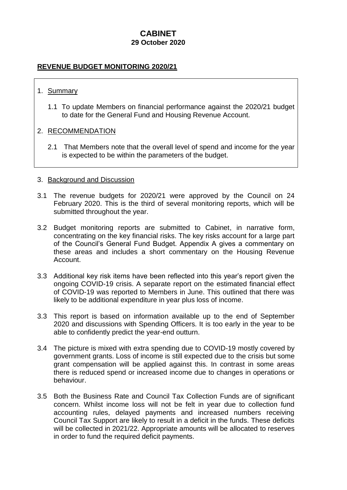# **CABINET 29 October 2020**

# **REVENUE BUDGET MONITORING 2020/21**

### 1. Summary

1.1 To update Members on financial performance against the 2020/21 budget to date for the General Fund and Housing Revenue Account.

#### 2. RECOMMENDATION

2.1 That Members note that the overall level of spend and income for the year is expected to be within the parameters of the budget.

#### 3. Background and Discussion

- 3.1 The revenue budgets for 2020/21 were approved by the Council on 24 February 2020. This is the third of several monitoring reports, which will be submitted throughout the year.
- 3.2 Budget monitoring reports are submitted to Cabinet, in narrative form, concentrating on the key financial risks. The key risks account for a large part of the Council's General Fund Budget. Appendix A gives a commentary on these areas and includes a short commentary on the Housing Revenue Account.
- 3.3 Additional key risk items have been reflected into this year's report given the ongoing COVID-19 crisis. A separate report on the estimated financial effect of COVID-19 was reported to Members in June. This outlined that there was likely to be additional expenditure in year plus loss of income.
- 3.3 This report is based on information available up to the end of September 2020 and discussions with Spending Officers. It is too early in the year to be able to confidently predict the year-end outturn.
- 3.4 The picture is mixed with extra spending due to COVID-19 mostly covered by government grants. Loss of income is still expected due to the crisis but some grant compensation will be applied against this. In contrast in some areas there is reduced spend or increased income due to changes in operations or behaviour.
- 3.5 Both the Business Rate and Council Tax Collection Funds are of significant concern. Whilst income loss will not be felt in year due to collection fund accounting rules, delayed payments and increased numbers receiving Council Tax Support are likely to result in a deficit in the funds. These deficits will be collected in 2021/22. Appropriate amounts will be allocated to reserves in order to fund the required deficit payments.